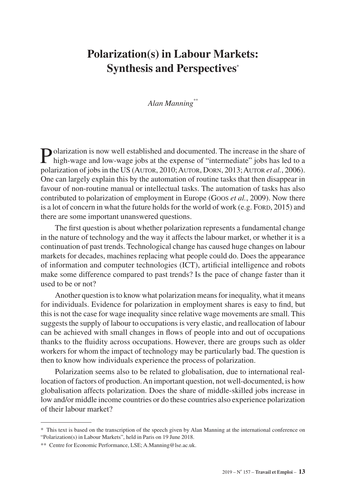# **Polarization(s) in Labour Markets: Synthesis and Perspectives\***

#### *Alan Manning\*\**

Polarization is now well established and documented. The increase in the share of high-wage and low weges interest in high-wage and low-wage jobs at the expense of "intermediate" jobs has led to a polarization of jobs in the US (Autor, 2010; Autor, Dorn, 2013; Autor *et al.*, 2006). One can largely explain this by the automation of routine tasks that then disappear in favour of non-routine manual or intellectual tasks. The automation of tasks has also contributed to polarization of employment in Europe (Goos *et al.*, 2009). Now there is a lot of concern in what the future holds for the world of work (e.g. Ford,  $2015$ ) and there are some important unanswered questions.

The first question is about whether polarization represents a fundamental change in the nature of technology and the way it affects the labour market, or whether it is a continuation of past trends. Technological change has caused huge changes on labour markets for decades, machines replacing what people could do. Does the appearance of information and computer technologies (ICT), artificial intelligence and robots make some difference compared to past trends? Is the pace of change faster than it used to be or not?

Another question is to know what polarization means for inequality, what it means for individuals. Evidence for polarization in employment shares is easy to find, but this is not the case for wage inequality since relative wage movements are small. This suggests the supply of labour to occupations is very elastic, and reallocation of labour can be achieved with small changes in flows of people into and out of occupations thanks to the fluidity across occupations. However, there are groups such as older workers for whom the impact of technology may be particularly bad. The question is then to know how individuals experience the process of polarization.

Polarization seems also to be related to globalisation, due to international reallocation of factors of production. An important question, not well-documented, is how globalisation affects polarization. Does the share of middle-skilled jobs increase in low and/or middle income countries or do these countries also experience polarization of their labour market?

<sup>\*</sup> This text is based on the transcription of the speech given by Alan Manning at the international conference on "Polarization(s) in Labour Markets", held in Paris on 19 June 2018.

<sup>\*\*</sup> Centre for Economic Performance, LSE; [A.Manning@lse.ac.uk.](mailto:A.Manning%40lse.ac.uk?subject=)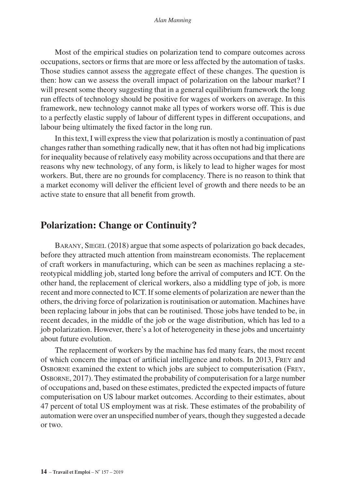Most of the empirical studies on polarization tend to compare outcomes across occupations, sectors or firms that are more or less affected by the automation of tasks. Those studies cannot assess the aggregate effect of these changes. The question is then: how can we assess the overall impact of polarization on the labour market? I will present some theory suggesting that in a general equilibrium framework the long run effects of technology should be positive for wages of workers on average. In this framework, new technology cannot make all types of workers worse off. This is due to a perfectly elastic supply of labour of different types in different occupations, and labour being ultimately the fixed factor in the long run.

In this text, I will express the view that polarization is mostly a continuation of past changes rather than something radically new, that it has often not had big implications for inequality because of relatively easy mobility across occupations and that there are reasons why new technology, of any form, is likely to lead to higher wages for most workers. But, there are no grounds for complacency. There is no reason to think that a market economy will deliver the efficient level of growth and there needs to be an active state to ensure that all benefit from growth.

## **Polarization: Change or Continuity?**

BARANY, SIEGEL (2018) argue that some aspects of polarization go back decades, before they attracted much attention from mainstream economists. The replacement of craft workers in manufacturing, which can be seen as machines replacing a stereotypical middling job, started long before the arrival of computers and ICT. On the other hand, the replacement of clerical workers, also a middling type of job, is more recent and more connected to ICT. If some elements of polarization are newer than the others, the driving force of polarization is routinisation or automation. Machines have been replacing labour in jobs that can be routinised. Those jobs have tended to be, in recent decades, in the middle of the job or the wage distribution, which has led to a job polarization. However, there's a lot of heterogeneity in these jobs and uncertainty about future evolution.

The replacement of workers by the machine has fed many fears, the most recent of which concern the impact of artificial intelligence and robots. In 2013, Frey and Osborne examined the extent to which jobs are subject to computerisation (Frey, Osborne, 2017). They estimated the probability of computerisation for a large number of occupations and, based on these estimates, predicted the expected impacts of future computerisation on US labour market outcomes. According to their estimates, about 47 percent of total US employment was at risk. These estimates of the probability of automation were over an unspecified number of years, though they suggested a decade or two.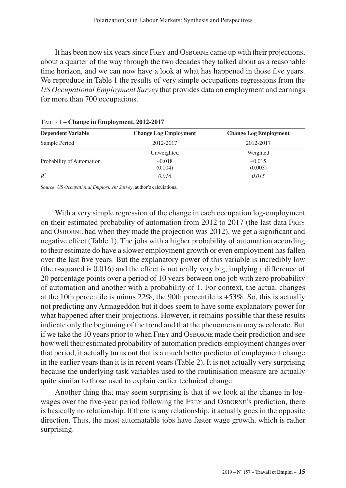It has been now six years since Frey and Osborne came up with their projections, about a quarter of the way through the two decades they talked about as a reasonable time horizon, and we can now have a look at what has happened in those five years. We reproduce in Table 1 the results of very simple occupations regressions from the *US Occupational Employment Survey* that provides data on employment and earnings for more than 700 occupations.

| <b>Dependent Variable</b> | <b>Change Log Employment</b> | <b>Change Log Employment</b> |  |
|---------------------------|------------------------------|------------------------------|--|
| Sample Period             | 2012-2017                    | 2012-2017                    |  |
|                           | Unweighted                   | Weighted                     |  |
| Probability of Automation | $-0.018$<br>(0.004)          | $-0.015$<br>(0.003)          |  |
| $R^2$                     | 0.016                        | 0.015                        |  |

|  |  |  | TABLE 1 – Change in Employment, 2012-2017 |  |
|--|--|--|-------------------------------------------|--|
|--|--|--|-------------------------------------------|--|

*Source*: *US Occupational Employment Survey*, author's calculations.

With a very simple regression of the change in each occupation log-employment on their estimated probability of automation from 2012 to 2017 (the last data Frey and Osborne had when they made the projection was 2012), we get a significant and negative effect (Table 1). The jobs with a higher probability of automation according to their estimate do have a slower employment growth or even employment has fallen over the last five years. But the explanatory power of this variable is incredibly low (the r-squared is 0.016) and the effect is not really very big, implying a difference of 20 percentage points over a period of 10 years between one job with zero probability of automation and another with a probability of 1. For context, the actual changes at the 10th percentile is minus  $22\%$ , the 90th percentile is  $+53\%$ . So, this is actually not predicting any Armageddon but it does seem to have some explanatory power for what happened after their projections. However, it remains possible that these results indicate only the beginning of the trend and that the phenomenon may accelerate. But if we take the 10 years prior to when Frey and Osborne made their prediction and see how well their estimated probability of automation predicts employment changes over that period, it actually turns out that is a much better predictor of employment change in the earlier years than it is in recent years (Table 2). It is not actually very surprising because the underlying task variables used to the routinisation measure are actually quite similar to those used to explain earlier technical change.

Another thing that may seem surprising is that if we look at the change in logwages over the five-year period following the FREY and OSBORNE's prediction, there is basically no relationship. If there is any relationship, it actually goes in the opposite direction. Thus, the most automatable jobs have faster wage growth, which is rather surprising.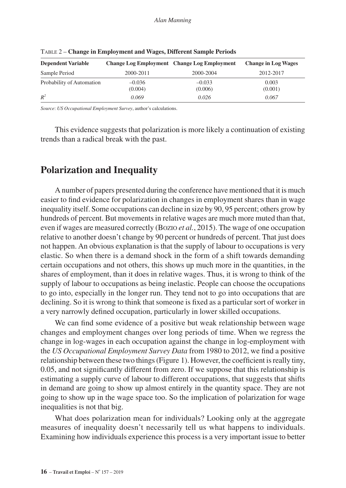| <b>Dependent Variable</b> |                     | <b>Change Log Employment</b> Change Log Employment | <b>Change in Log Wages</b> |
|---------------------------|---------------------|----------------------------------------------------|----------------------------|
| Sample Period             | 2000-2011           | 2000-2004                                          | 2012-2017                  |
| Probability of Automation | $-0.036$<br>(0.004) | $-0.033$<br>(0.006)                                | 0.003<br>(0.001)           |
| $R^2$                     | 0.069               | 0.026                                              | 0.067                      |

Table 2 – **Change in Employment and Wages, Different Sample Periods**

*Source*: *US Occupational Employment Survey*, author's calculations.

This evidence suggests that polarization is more likely a continuation of existing trends than a radical break with the past.

### **Polarization and Inequality**

A number of papers presented during the conference have mentioned that it is much easier to find evidence for polarization in changes in employment shares than in wage inequality itself. Some occupations can decline in size by 90, 95 percent; others grow by hundreds of percent. But movements in relative wages are much more muted than that, even if wages are measured correctly (Bozio *et al.*, 2015). The wage of one occupation relative to another doesn't change by 90 percent or hundreds of percent. That just does not happen. An obvious explanation is that the supply of labour to occupations is very elastic. So when there is a demand shock in the form of a shift towards demanding certain occupations and not others, this shows up much more in the quantities, in the shares of employment, than it does in relative wages. Thus, it is wrong to think of the supply of labour to occupations as being inelastic. People can choose the occupations to go into, especially in the longer run. They tend not to go into occupations that are declining. So it is wrong to think that someone is fixed as a particular sort of worker in a very narrowly defined occupation, particularly in lower skilled occupations.

We can find some evidence of a positive but weak relationship between wage changes and employment changes over long periods of time. When we regress the change in log-wages in each occupation against the change in log-employment with the *US Occupational Employment Survey Data* from 1980 to 2012, we find a positive relationship between these two things (Figure 1). However, the coefficient is really tiny, 0.05, and not significantly different from zero. If we suppose that this relationship is estimating a supply curve of labour to different occupations, that suggests that shifts in demand are going to show up almost entirely in the quantity space. They are not going to show up in the wage space too. So the implication of polarization for wage inequalities is not that big.

What does polarization mean for individuals? Looking only at the aggregate measures of inequality doesn't necessarily tell us what happens to individuals. Examining how individuals experience this process is a very important issue to better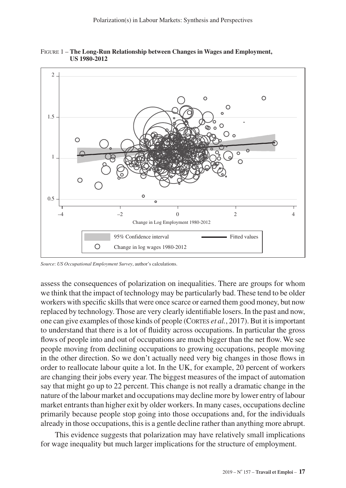

Figure 1 – **The Long-Run Relationship between Changes in Wages and Employment, US 1980-2012**

*Source*: *US Occupational Employment Survey*, author's calculations.

assess the consequences of polarization on inequalities. There are groups for whom we think that the impact of technology may be particularly bad. These tend to be older workers with specific skills that were once scarce or earned them good money, but now replaced by technology. Those are very clearly identifiable losers. In the past and now, one can give examples of those kinds of people (Cortes *et al.*, 2017). But it is important to understand that there is a lot of fluidity across occupations. In particular the gross flows of people into and out of occupations are much bigger than the net flow. We see people moving from declining occupations to growing occupations, people moving in the other direction. So we don't actually need very big changes in those flows in order to reallocate labour quite a lot. In the UK, for example, 20 percent of workers are changing their jobs every year. The biggest measures of the impact of automation say that might go up to 22 percent. This change is not really a dramatic change in the nature of the labour market and occupations may decline more by lower entry of labour market entrants than higher exit by older workers. In many cases, occupations decline primarily because people stop going into those occupations and, for the individuals already in those occupations, this is a gentle decline rather than anything more abrupt.

This evidence suggests that polarization may have relatively small implications for wage inequality but much larger implications for the structure of employment.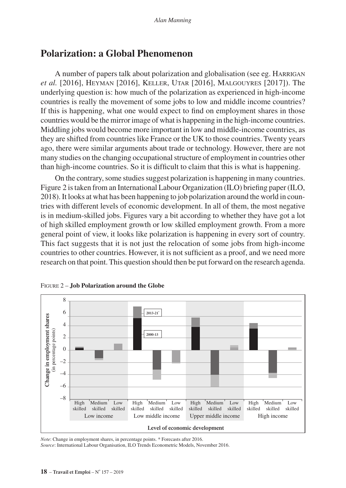### **Polarization: a Global Phenomenon**

A number of papers talk about polarization and globalisation (see eg. Harrigan *et al.* [2016], Heyman [2016], Keller, Utar [2016], Malgouyres [2017]). The underlying question is: how much of the polarization as experienced in high-income countries is really the movement of some jobs to low and middle income countries? If this is happening, what one would expect to find on employment shares in those countries would be the mirror image of what is happening in the high-income countries. Middling jobs would become more important in low and middle-income countries, as they are shifted from countries like France or the UK to those countries. Twenty years ago, there were similar arguments about trade or technology. However, there are not many studies on the changing occupational structure of employment in countries other than high-income countries. So it is difficult to claim that this is what is happening.

On the contrary, some studies suggest polarization is happening in many countries. Figure 2 is taken from an International Labour Organization (ILO) briefing paper (ILO, 2018). It looks at what has been happening to job polarization around the world in countries with different levels of economic development. In all of them, the most negative is in medium-skilled jobs. Figures vary a bit according to whether they have got a lot of high skilled employment growth or low skilled employment growth. From a more general point of view, it looks like polarization is happening in every sort of country. This fact suggests that it is not just the relocation of some jobs from high-income countries to other countries. However, it is not sufficient as a proof, and we need more research on that point. This question should then be put forward on the research agenda.



Figure 2 – **Job Polarization around the Globe**

*Note*: Change in employment shares, in percentage points. \* Forecasts after 2016. *Source*: International Labour Organisation, ILO Trends Econometric Models, November 2016.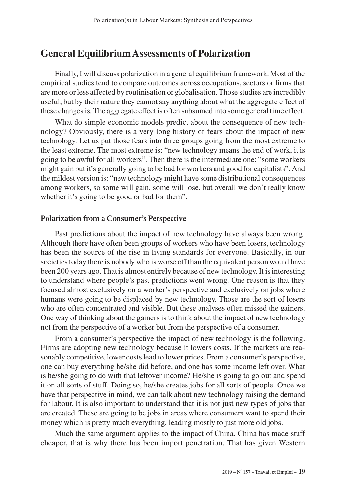## **General Equilibrium Assessments of Polarization**

Finally, I will discuss polarization in a general equilibrium framework. Most of the empirical studies tend to compare outcomes across occupations, sectors or firms that are more or less affected by routinisation or globalisation. Those studies are incredibly useful, but by their nature they cannot say anything about what the aggregate effect of these changes is. The aggregate effect is often subsumed into some general time effect.

What do simple economic models predict about the consequence of new technology? Obviously, there is a very long history of fears about the impact of new technology. Let us put those fears into three groups going from the most extreme to the least extreme. The most extreme is: "new technology means the end of work, it is going to be awful for all workers". Then there is the intermediate one: "some workers might gain but it's generally going to be bad for workers and good for capitalists". And the mildest version is: "new technology might have some distributional consequences among workers, so some will gain, some will lose, but overall we don't really know whether it's going to be good or bad for them".

#### **Polarization from a Consumer's Perspective**

Past predictions about the impact of new technology have always been wrong. Although there have often been groups of workers who have been losers, technology has been the source of the rise in living standards for everyone. Basically, in our societies today there is nobody who is worse off than the equivalent person would have been 200 years ago. That is almost entirely because of new technology. It is interesting to understand where people's past predictions went wrong. One reason is that they focused almost exclusively on a worker's perspective and exclusively on jobs where humans were going to be displaced by new technology. Those are the sort of losers who are often concentrated and visible. But these analyses often missed the gainers. One way of thinking about the gainers is to think about the impact of new technology not from the perspective of a worker but from the perspective of a consumer.

From a consumer's perspective the impact of new technology is the following. Firms are adopting new technology because it lowers costs. If the markets are reasonably competitive, lower costs lead to lower prices. From a consumer's perspective, one can buy everything he/she did before, and one has some income left over. What is he/she going to do with that leftover income? He/she is going to go out and spend it on all sorts of stuff. Doing so, he/she creates jobs for all sorts of people. Once we have that perspective in mind, we can talk about new technology raising the demand for labour. It is also important to understand that it is not just new types of jobs that are created. These are going to be jobs in areas where consumers want to spend their money which is pretty much everything, leading mostly to just more old jobs.

Much the same argument applies to the impact of China. China has made stuff cheaper, that is why there has been import penetration. That has given Western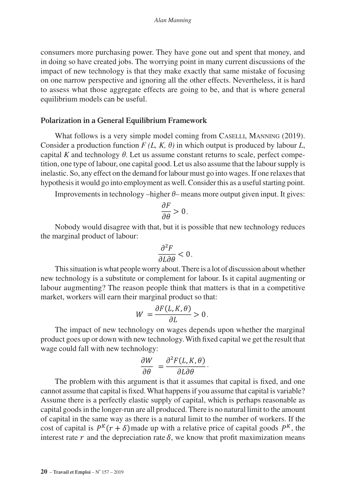consumers more purchasing power. They have gone out and spent that money, and in doing so have created jobs. The worrying point in many current discussions of the impact of new technology is that they make exactly that same mistake of focusing on one narrow perspective and ignoring all the other effects. Nevertheless, it is hard to assess what those aggregate effects are going to be, and that is where general equilibrium models can be useful.

#### **Polarization in a General Equilibrium Framework**

What follows is a very simple model coming from CASELLI, MANNING (2019). Consider a production function  $F(L, K, \theta)$  in which output is produced by labour L, capital *K* and technology *θ*. Let us assume constant returns to scale, perfect competition, one type of labour, one capital good. Let us also assume that the labour supply is inelastic. So, any effect on the demand for labour must go into wages. If one relaxes that hypothesis it would go into employment as well. Consider this as a useful starting point.

Improvements in technology –higher *θ*– means more output given input. It gives:

$$
\frac{\partial F}{\partial \theta} > 0.
$$

Nobody would disagree with that, but it is possible that new technology reduces the marginal product of labour:

$$
\frac{\partial^2 F}{\partial L \partial \theta} < 0.
$$

This situation is what people worry about. There is a lot of discussion about whether new technology is a substitute or complement for labour. Is it capital augmenting or labour augmenting? The reason people think that matters is that in a competitive market, workers will earn their marginal product so that:

$$
W = \frac{\partial F(L, K, \theta)}{\partial L} > 0.
$$

The impact of new technology on wages depends upon whether the marginal product goes up or down with new technology. With fixed capital we get the result that wage could fall with new technology:

$$
\frac{\partial W}{\partial \theta} = \frac{\partial^2 F(L, K, \theta)}{\partial L \partial \theta}
$$

.

The problem with this argument is that it assumes that capital is fixed, and one cannot assume that capital is fixed. What happens if you assume that capital is variable? Assume there is a perfectly elastic supply of capital, which is perhaps reasonable as capital goods in the longer-run are all produced. There is no natural limit to the amount of capital in the same way as there is a natural limit to the number of workers. If the cost of capital is  $P^{K}(r + \delta)$  made up with a relative price of capital goods  $P^{K}$ , the interest rate  $r$  and the depreciation rate  $\delta$ , we know that profit maximization means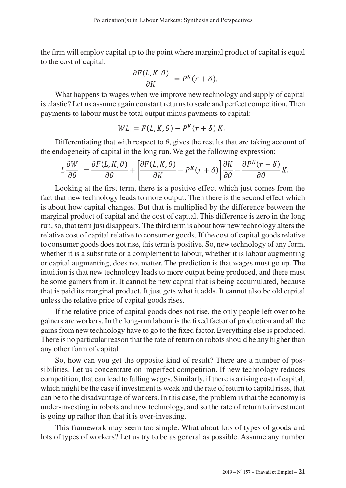the firm will employ capital up to the point where marginal product of capital is equal to the cost of capital:

$$
\frac{\partial F(L,K,\theta)}{\partial K} = P^{K}(r+\delta).
$$

What happens to wages when we improve new technology and supply of capital is elastic? Let us assume again constant returns to scale and perfect competition. Then payments to labour must be total output minus payments to capital:

$$
WL = F(L, K, \theta) - P^{K}(r + \delta) K.
$$

Differentiating that with respect to  $\theta$ , gives the results that are taking account of the endogeneity of capital in the long run. We get the following expression:

$$
L\frac{\partial W}{\partial \theta} = \frac{\partial F(L, K, \theta)}{\partial \theta} + \left[ \frac{\partial F(L, K, \theta)}{\partial K} - P^{K}(r + \delta) \right] \frac{\partial K}{\partial \theta} - \frac{\partial P^{K}(r + \delta)}{\partial \theta} K.
$$

Looking at the first term, there is a positive effect which just comes from the fact that new technology leads to more output. Then there is the second effect which is about how capital changes. But that is multiplied by the difference between the marginal product of capital and the cost of capital. This difference is zero in the long run, so, that term just disappears. The third term is about how new technology alters the relative cost of capital relative to consumer goods. If the cost of capital goods relative to consumer goods does not rise, this term is positive. So, new technology of any form, whether it is a substitute or a complement to labour, whether it is labour augmenting or capital augmenting, does not matter. The prediction is that wages must go up. The intuition is that new technology leads to more output being produced, and there must be some gainers from it. It cannot be new capital that is being accumulated, because that is paid its marginal product. It just gets what it adds. It cannot also be old capital unless the relative price of capital goods rises.

If the relative price of capital goods does not rise, the only people left over to be gainers are workers. In the long-run labour is the fixed factor of production and all the gains from new technology have to go to the fixed factor. Everything else is produced. There is no particular reason that the rate of return on robots should be any higher than any other form of capital.

So, how can you get the opposite kind of result? There are a number of possibilities. Let us concentrate on imperfect competition. If new technology reduces competition, that can lead to falling wages. Similarly, if there is a rising cost of capital, which might be the case if investment is weak and the rate of return to capital rises, that can be to the disadvantage of workers. In this case, the problem is that the economy is under-investing in robots and new technology, and so the rate of return to investment is going up rather than that it is over-investing.

This framework may seem too simple. What about lots of types of goods and lots of types of workers? Let us try to be as general as possible. Assume any number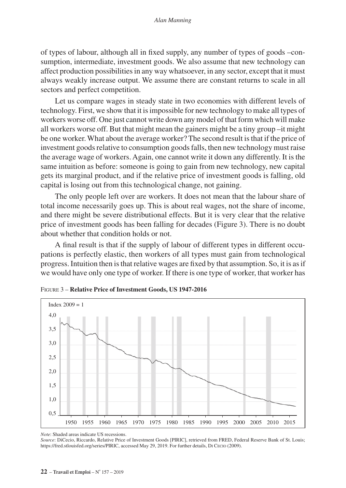of types of labour, although all in fixed supply, any number of types of goods –consumption, intermediate, investment goods. We also assume that new technology can affect production possibilities in any way whatsoever, in any sector, except that it must always weakly increase output. We assume there are constant returns to scale in all sectors and perfect competition.

Let us compare wages in steady state in two economies with different levels of technology. First, we show that it is impossible for new technology to make all types of workers worse off. One just cannot write down any model of that form which will make all workers worse off. But that might mean the gainers might be a tiny group –it might be one worker. What about the average worker? The second result is that if the price of investment goods relative to consumption goods falls, then new technology must raise the average wage of workers. Again, one cannot write it down any differently. It is the same intuition as before: someone is going to gain from new technology, new capital gets its marginal product, and if the relative price of investment goods is falling, old capital is losing out from this technological change, not gaining.

The only people left over are workers. It does not mean that the labour share of total income necessarily goes up. This is about real wages, not the share of income, and there might be severe distributional effects. But it is very clear that the relative price of investment goods has been falling for decades (Figure 3). There is no doubt about whether that condition holds or not.

A final result is that if the supply of labour of different types in different occupations is perfectly elastic, then workers of all types must gain from technological progress. Intuition then is that relative wages are fixed by that assumption. So, it is as if we would have only one type of worker. If there is one type of worker, that worker has



Figure 3 – **Relative Price of Investment Goods, US 1947-2016**

*Note*: Shaded areas indicate US recessions.

*Source*: DiCecio, Riccardo, Relative Price of Investment Goods [PIRIC], retrieved from FRED, Federal Reserve Bank of St. Louis; https://fred.stlouisfed.org/series/PIRIC, accessed May 29, 2019. For further details, Di Cecio (2009).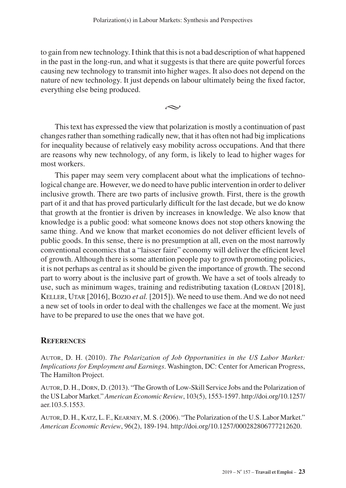to gain from new technology. I think that this is not a bad description of what happened in the past in the long-run, and what it suggests is that there are quite powerful forces causing new technology to transmit into higher wages. It also does not depend on the nature of new technology. It just depends on labour ultimately being the fixed factor, everything else being produced.

 $\rightsquigarrow$ 

This text has expressed the view that polarization is mostly a continuation of past changes rather than something radically new, that it has often not had big implications for inequality because of relatively easy mobility across occupations. And that there are reasons why new technology, of any form, is likely to lead to higher wages for most workers.

This paper may seem very complacent about what the implications of technological change are. However, we do need to have public intervention in order to deliver inclusive growth. There are two parts of inclusive growth. First, there is the growth part of it and that has proved particularly difficult for the last decade, but we do know that growth at the frontier is driven by increases in knowledge. We also know that knowledge is a public good: what someone knows does not stop others knowing the same thing. And we know that market economies do not deliver efficient levels of public goods. In this sense, there is no presumption at all, even on the most narrowly conventional economics that a "laisser faire" economy will deliver the efficient level of growth. Although there is some attention people pay to growth promoting policies, it is not perhaps as central as it should be given the importance of growth. The second part to worry about is the inclusive part of growth. We have a set of tools already to use, such as minimum wages, training and redistributing taxation (LORDAN [2018], Keller, Utar [2016], Bozio *et al.* [2015]). We need to use them. And we do not need a new set of tools in order to deal with the challenges we face at the moment. We just have to be prepared to use the ones that we have got.

#### **References**

Autor, D. H. (2010). *The Polarization of Job Opportunities in the US Labor Market: Implications for Employment and Earnings*. Washington, DC: Center for American Progress, The Hamilton Project.

Autor, D. H., Dorn, D. (2013). "The Growth of Low-Skill Service Jobs and the Polarization of the US Labor Market." *American Economic Review*, 103(5), 1553-1597. [http://doi.org/10.1257/](http://doi.org/10.1257/aer.103.5.1553) [aer.103.5.1553.](http://doi.org/10.1257/aer.103.5.1553)

Autor, D. H., Katz, L. F., Kearney, M. S. (2006). "The Polarization of the U.S. Labor Market." *American Economic Review*, 96(2), 189-194.<http://doi.org/10.1257/000282806777212620>.